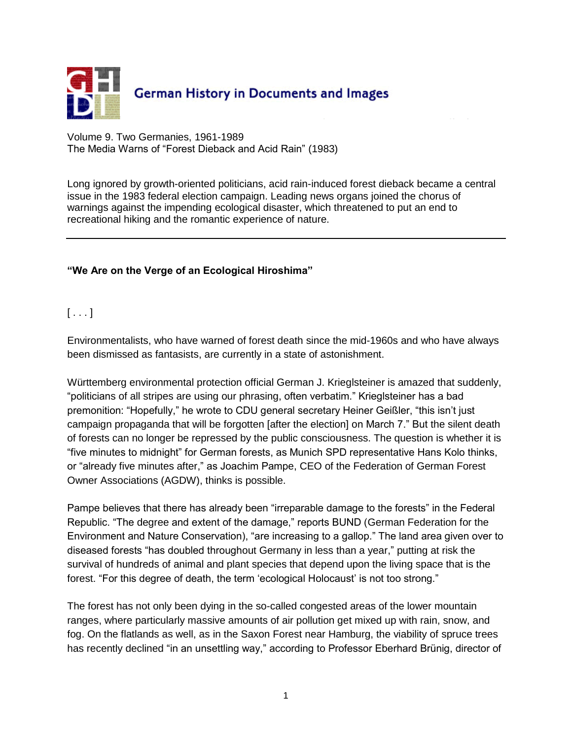

Volume 9. Two Germanies, 1961-1989 The Media Warns of "Forest Dieback and Acid Rain" (1983)

Long ignored by growth-oriented politicians, acid rain-induced forest dieback became a central issue in the 1983 federal election campaign. Leading news organs joined the chorus of warnings against the impending ecological disaster, which threatened to put an end to recreational hiking and the romantic experience of nature.

## **"We Are on the Verge of an Ecological Hiroshima"**

 $[ \ldots ]$ 

Environmentalists, who have warned of forest death since the mid-1960s and who have always been dismissed as fantasists, are currently in a state of astonishment.

Württemberg environmental protection official German J. Krieglsteiner is amazed that suddenly, "politicians of all stripes are using our phrasing, often verbatim." Krieglsteiner has a bad premonition: "Hopefully," he wrote to CDU general secretary Heiner Geißler, "this isn't just campaign propaganda that will be forgotten [after the election] on March 7." But the silent death of forests can no longer be repressed by the public consciousness. The question is whether it is "five minutes to midnight" for German forests, as Munich SPD representative Hans Kolo thinks, or "already five minutes after," as Joachim Pampe, CEO of the Federation of German Forest Owner Associations (AGDW), thinks is possible.

Pampe believes that there has already been "irreparable damage to the forests" in the Federal Republic. "The degree and extent of the damage," reports BUND (German Federation for the Environment and Nature Conservation), "are increasing to a gallop." The land area given over to diseased forests "has doubled throughout Germany in less than a year," putting at risk the survival of hundreds of animal and plant species that depend upon the living space that is the forest. "For this degree of death, the term 'ecological Holocaust' is not too strong."

The forest has not only been dying in the so-called congested areas of the lower mountain ranges, where particularly massive amounts of air pollution get mixed up with rain, snow, and fog. On the flatlands as well, as in the Saxon Forest near Hamburg, the viability of spruce trees has recently declined "in an unsettling way," according to Professor Eberhard Brünig, director of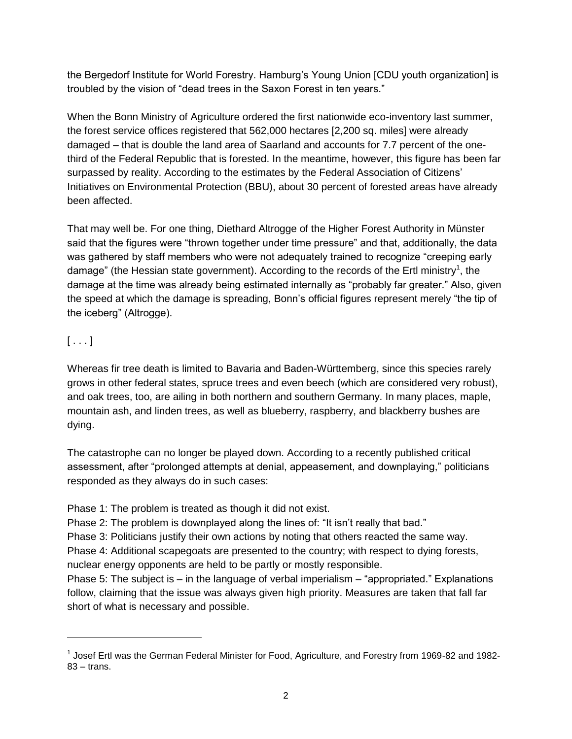the Bergedorf Institute for World Forestry. Hamburg's Young Union [CDU youth organization] is troubled by the vision of "dead trees in the Saxon Forest in ten years."

When the Bonn Ministry of Agriculture ordered the first nationwide eco-inventory last summer, the forest service offices registered that 562,000 hectares [2,200 sq. miles] were already damaged – that is double the land area of Saarland and accounts for 7.7 percent of the onethird of the Federal Republic that is forested. In the meantime, however, this figure has been far surpassed by reality. According to the estimates by the Federal Association of Citizens' Initiatives on Environmental Protection (BBU), about 30 percent of forested areas have already been affected.

That may well be. For one thing, Diethard Altrogge of the Higher Forest Authority in Münster said that the figures were "thrown together under time pressure" and that, additionally, the data was gathered by staff members who were not adequately trained to recognize "creeping early damage" (the Hessian state government). According to the records of the Ertl ministry<sup>1</sup>, the damage at the time was already being estimated internally as "probably far greater." Also, given the speed at which the damage is spreading, Bonn's official figures represent merely "the tip of the iceberg" (Altrogge).

## $[\ldots]$

 $\overline{a}$ 

Whereas fir tree death is limited to Bavaria and Baden-Württemberg, since this species rarely grows in other federal states, spruce trees and even beech (which are considered very robust), and oak trees, too, are ailing in both northern and southern Germany. In many places, maple, mountain ash, and linden trees, as well as blueberry, raspberry, and blackberry bushes are dying.

The catastrophe can no longer be played down. According to a recently published critical assessment, after "prolonged attempts at denial, appeasement, and downplaying," politicians responded as they always do in such cases:

Phase 1: The problem is treated as though it did not exist.

Phase 2: The problem is downplayed along the lines of: "It isn't really that bad."

Phase 3: Politicians justify their own actions by noting that others reacted the same way.

Phase 4: Additional scapegoats are presented to the country; with respect to dying forests, nuclear energy opponents are held to be partly or mostly responsible.

Phase 5: The subject is – in the language of verbal imperialism – "appropriated." Explanations follow, claiming that the issue was always given high priority. Measures are taken that fall far short of what is necessary and possible.

<sup>&</sup>lt;sup>1</sup> Josef Ertl was the German Federal Minister for Food, Agriculture, and Forestry from 1969-82 and 1982-83 – trans.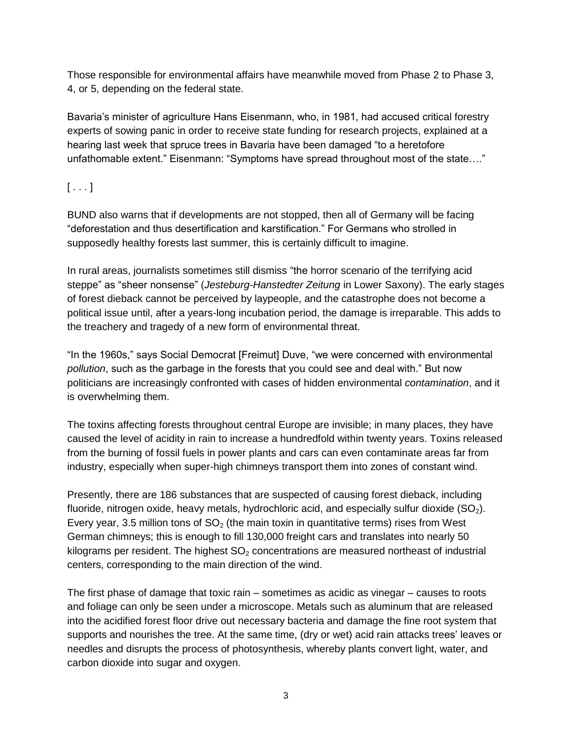Those responsible for environmental affairs have meanwhile moved from Phase 2 to Phase 3, 4, or 5, depending on the federal state.

Bavaria's minister of agriculture Hans Eisenmann, who, in 1981, had accused critical forestry experts of sowing panic in order to receive state funding for research projects, explained at a hearing last week that spruce trees in Bavaria have been damaged "to a heretofore unfathomable extent." Eisenmann: "Symptoms have spread throughout most of the state…."

 $[\ldots]$ 

BUND also warns that if developments are not stopped, then all of Germany will be facing "deforestation and thus desertification and karstification." For Germans who strolled in supposedly healthy forests last summer, this is certainly difficult to imagine.

In rural areas, journalists sometimes still dismiss "the horror scenario of the terrifying acid steppe" as "sheer nonsense" (*Jesteburg-Hanstedter Zeitung* in Lower Saxony). The early stages of forest dieback cannot be perceived by laypeople, and the catastrophe does not become a political issue until, after a years-long incubation period, the damage is irreparable. This adds to the treachery and tragedy of a new form of environmental threat.

"In the 1960s," says Social Democrat [Freimut] Duve, "we were concerned with environmental *pollution*, such as the garbage in the forests that you could see and deal with." But now politicians are increasingly confronted with cases of hidden environmental *contamination*, and it is overwhelming them.

The toxins affecting forests throughout central Europe are invisible; in many places, they have caused the level of acidity in rain to increase a hundredfold within twenty years. Toxins released from the burning of fossil fuels in power plants and cars can even contaminate areas far from industry, especially when super-high chimneys transport them into zones of constant wind.

Presently, there are 186 substances that are suspected of causing forest dieback, including fluoride, nitrogen oxide, heavy metals, hydrochloric acid, and especially sulfur dioxide  $(SO<sub>2</sub>)$ . Every year, 3.5 million tons of  $SO<sub>2</sub>$  (the main toxin in quantitative terms) rises from West German chimneys; this is enough to fill 130,000 freight cars and translates into nearly 50 kilograms per resident. The highest  $SO<sub>2</sub>$  concentrations are measured northeast of industrial centers, corresponding to the main direction of the wind.

The first phase of damage that toxic rain – sometimes as acidic as vinegar – causes to roots and foliage can only be seen under a microscope. Metals such as aluminum that are released into the acidified forest floor drive out necessary bacteria and damage the fine root system that supports and nourishes the tree. At the same time, (dry or wet) acid rain attacks trees' leaves or needles and disrupts the process of photosynthesis, whereby plants convert light, water, and carbon dioxide into sugar and oxygen.